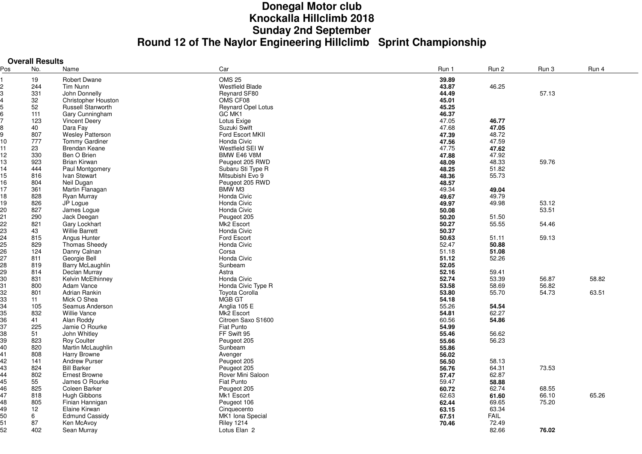## **Donegal Motor club Knockalla Hillclimb 2018Sunday 2nd September Round 12 of The Naylor Engineering Hillclimb Sprint Championship**

**Overall Results**

| Pos | No. | Name                    | Car                    | Run 1 | Run 2       | Run 3 | Run 4 |
|-----|-----|-------------------------|------------------------|-------|-------------|-------|-------|
|     | 19  | <b>Robert Dwane</b>     | <b>OMS 25</b>          | 39.89 |             |       |       |
|     | 244 | Tim Nunn                | <b>Westfield Blade</b> | 43.87 | 46.25       |       |       |
|     | 331 | John Donnelly           | Reynard SF80           | 44.49 |             | 57.13 |       |
|     | 32  | Christopher Houston     | OMS CF08               | 45.01 |             |       |       |
|     | 52  | Russell Stanworth       | Reynard Opel Lotus     | 45.25 |             |       |       |
|     | 111 | Gary Cunningham         | GC MK1                 | 46.37 |             |       |       |
|     | 123 | <b>Vincent Deery</b>    | Lotus Exige            | 47.05 | 46.77       |       |       |
|     | 40  | Dara Fay                | Suzuki Swift           | 47.68 |             |       |       |
|     |     |                         |                        |       | 47.05       |       |       |
|     | 807 | <b>Wesley Patterson</b> | Ford Escort MKII       | 47.39 | 48.72       |       |       |
| 10  | 777 | Tommy Gardiner          | Honda Civic            | 47.56 | 47.59       |       |       |
| 11  | 23  | Brendan Keane           | Westfield SEI W        | 47.75 | 47.62       |       |       |
| 12  | 330 | Ben O Brien             | BMW E46 V8M            | 47.88 | 47.92       |       |       |
| 13  | 923 | <b>Brian Kirwan</b>     | Peugeot 205 RWD        | 48.09 | 48.33       | 59.76 |       |
| 14  | 444 | Paul Montgomery         | Subaru Sti Type R      | 48.25 | 51.82       |       |       |
| 15  | 816 | Ivan Stewart            | Mitsubishi Evo 9       | 48.36 | 55.73       |       |       |
| 16  | 804 | Neil Dugan              | Peugeot 205 RWD        | 48.57 |             |       |       |
| 17  | 361 | Martin Flanagan         | BMW M3                 | 49.34 | 49.04       |       |       |
| 18  | 828 | Ryan Murray             | Honda Civic            | 49.67 | 49.79       |       |       |
| 19  | 826 | JP Logue                | Honda Civic            | 49.97 | 49.98       | 53.12 |       |
| 20  | 827 | James Logue             | Honda Civic            | 50.08 |             | 53.51 |       |
| 21  | 290 | Jack Deegan             | Peugeot 205            | 50.20 | 51.50       |       |       |
| 22  | 821 | Gary Lockhart           | Mk2 Escort             | 50.27 | 55.55       | 54.46 |       |
| 23  | 43  | <b>Willie Barrett</b>   | Honda Civic            | 50.37 |             |       |       |
| 24  | 815 | Angus Hunter            | Ford Escort            | 50.63 | 51.11       | 59.13 |       |
| 25  | 829 | <b>Thomas Sheedy</b>    | Honda Civic            | 52.47 | 50.88       |       |       |
| 26  | 124 | Danny Calnan            | Corsa                  | 51.18 | 51.08       |       |       |
| 27  | 811 | Georgie Bell            | Honda Civic            | 51.12 | 52.26       |       |       |
| 28  | 819 | Barry McLaughlin        | Sunbeam                | 52.05 |             |       |       |
| 29  | 814 | Declan Murray           | Astra                  | 52.16 | 59.41       |       |       |
| 30  | 831 | Kelvin McElhinney       | Honda Civic            | 52.74 | 53.39       | 56.87 | 58.82 |
| 31  | 800 | Adam Vance              | Honda Civic Type R     | 53.58 | 58.69       | 56.82 |       |
| 32  | 801 | Adrian Rankin           | Toyota Corolla         | 53.80 | 55.70       | 54.73 | 63.51 |
| 33  | 11  | Mick O Shea             | MGB GT                 | 54.18 |             |       |       |
| 34  | 105 | Seamus Anderson         | Anglia 105 E           | 55.26 | 54.54       |       |       |
| 35  | 832 | <b>Willie Vance</b>     | Mk2 Escort             | 54.81 | 62.27       |       |       |
| 36  |     |                         | Citroen Saxo S1600     |       | 54.86       |       |       |
|     | 41  | Alan Roddy              |                        | 60.56 |             |       |       |
| 37  | 225 | Jamie O Rourke          | Fiat Punto             | 54.99 |             |       |       |
| 38  | 51  | John Whitley            | FF Swift 95            | 55.46 | 56.62       |       |       |
| 39  | 823 | Roy Coulter             | Peugeot 205            | 55.66 | 56.23       |       |       |
| 40  | 820 | Martin McLaughlin       | Sunbeam                | 55.86 |             |       |       |
| 41  | 808 | Harry Browne            | Avenger                | 56.02 |             |       |       |
| 42  | 141 | Andrew Purser           | Peugeot 205            | 56.50 | 58.13       |       |       |
| 43  | 824 | <b>Bill Barker</b>      | Peugeot 205            | 56.76 | 64.31       | 73.53 |       |
| 44  | 802 | <b>Ernest Browne</b>    | Rover Mini Saloon      | 57.47 | 62.87       |       |       |
| 45  | 55  | James O Rourke          | Fiat Punto             | 59.47 | 58.88       |       |       |
| 46  | 825 | Coleen Barker           | Peugeot 205            | 60.72 | 62.74       | 68.55 |       |
| 47  | 818 | Hugh Gibbons            | Mk1 Escort             | 62.63 | 61.60       | 66.10 | 65.26 |
| 48  | 805 | Finian Hannigan         | Peugeot 106            | 62.44 | 69.65       | 75.20 |       |
| 49  | 12  | Elaine Kirwan           | Cinquecento            | 63.15 | 63.34       |       |       |
| 50  | 6   | <b>Edmund Cassidy</b>   | MK1 Iona Special       | 67.51 | <b>FAIL</b> |       |       |
| 51  | 87  | Ken McAvov              | <b>Riley 1214</b>      | 70.46 | 72.49       |       |       |
| 52  | 402 | Sean Murray             | Lotus Elan 2           |       | 82.66       | 76.02 |       |
|     |     |                         |                        |       |             |       |       |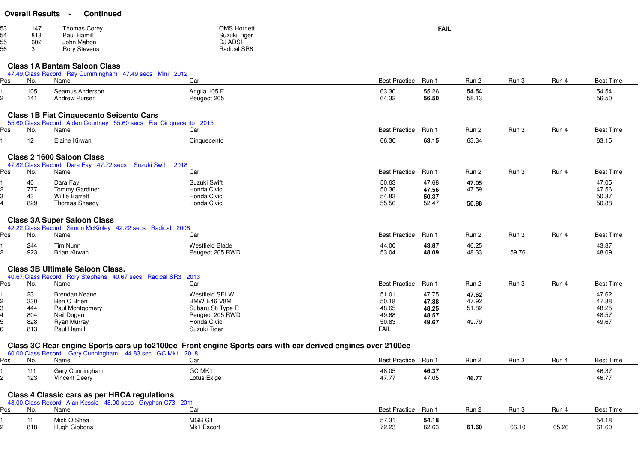| <b>Overall Results</b> |  | <b>Continued</b> |
|------------------------|--|------------------|
|------------------------|--|------------------|

| 53 | 147 | Thomas Corey        | <b>OMS Hornett</b> | FAIL |
|----|-----|---------------------|--------------------|------|
|    | 813 | Paul Hamill         | Suzuki Tiger       |      |
| 55 | 602 | John Mahon          | <b>DJ ADSI</b>     |      |
| 56 |     | <b>Rory Stevens</b> | Radical SR8        |      |

## **Class 1A Bantam Saloon Class**

|     |           | 47.49, Class Record Ray Cummingham 47.49 secs Mini 2012                                       |                                                                                                             |                      |                |                |       |       |                  |
|-----|-----------|-----------------------------------------------------------------------------------------------|-------------------------------------------------------------------------------------------------------------|----------------------|----------------|----------------|-------|-------|------------------|
| Pos | No.       | Name                                                                                          | Car                                                                                                         | <b>Best Practice</b> | Run 1          | Run 2          | Run 3 | Run 4 | <b>Best Time</b> |
|     | 105       | Seamus Anderson                                                                               | Anglia 105 E                                                                                                | 63.30                | 55.26          | 54.54          |       |       | 54.54            |
| 2   | 141       | <b>Andrew Purser</b>                                                                          | Peugeot 205                                                                                                 | 64.32                | 56.50          | 58.13          |       |       | 56.50            |
|     |           |                                                                                               |                                                                                                             |                      |                |                |       |       |                  |
|     |           | <b>Class 1B Fiat Cinquecento Seicento Cars</b>                                                |                                                                                                             |                      |                |                |       |       |                  |
|     |           | 55.60, Class Record Aiden Courtney 55.60 secs Fiat Cinquecento 2015                           |                                                                                                             |                      |                |                |       |       |                  |
| Pos | No.       | Name                                                                                          | Car                                                                                                         | <b>Best Practice</b> | Run 1          | Run 2          | Run 3 | Run 4 | <b>Best Time</b> |
|     | 12        | Elaine Kirwan                                                                                 | Cinquecento                                                                                                 | 66.30                | 63.15          | 63.34          |       |       | 63.15            |
|     |           |                                                                                               |                                                                                                             |                      |                |                |       |       |                  |
|     |           | <b>Class 2 1600 Saloon Class</b><br>47.82, Class Record Dara Fay 47.72 secs Suzuki Swift 2018 |                                                                                                             |                      |                |                |       |       |                  |
| Pos | No.       | Name                                                                                          | Car                                                                                                         | <b>Best Practice</b> | Run 1          | Run 2          | Run 3 | Run 4 | <b>Best Time</b> |
|     |           |                                                                                               |                                                                                                             |                      |                |                |       |       |                  |
| 2   | 40<br>777 | Dara Fay<br><b>Tommy Gardiner</b>                                                             | Suzuki Swift<br>Honda Civic                                                                                 | 50.63<br>50.36       | 47.68<br>47.56 | 47.05<br>47.59 |       |       | 47.05<br>47.56   |
| 3   | 43        | <b>Willie Barrett</b>                                                                         | Honda Civic                                                                                                 | 54.83                | 50.37          |                |       |       | 50.37            |
|     | 829       | <b>Thomas Sheedy</b>                                                                          | Honda Civic                                                                                                 | 55.56                | 52.47          | 50.88          |       |       | 50.88            |
|     |           |                                                                                               |                                                                                                             |                      |                |                |       |       |                  |
|     |           | <b>Class 3A Super Saloon Class</b>                                                            |                                                                                                             |                      |                |                |       |       |                  |
|     |           | 42.22, Class Record Simon McKinley 42.22 secs Radical 2008                                    |                                                                                                             |                      |                |                |       |       |                  |
| Pos | No.       | Name                                                                                          | Car                                                                                                         | <b>Best Practice</b> | Run 1          | Run 2          | Run 3 | Run 4 | <b>Best Time</b> |
|     | 244       | Tim Nunn                                                                                      | <b>Westfield Blade</b>                                                                                      | 44.00                | 43.87          | 46.25          |       |       | 43.87            |
| 2   | 923       | <b>Brian Kirwan</b>                                                                           | Peugeot 205 RWD                                                                                             | 53.04                | 48.09          | 48.33          | 59.76 |       | 48.09            |
|     |           |                                                                                               |                                                                                                             |                      |                |                |       |       |                  |
|     |           | <b>Class 3B Ultimate Saloon Class.</b>                                                        |                                                                                                             |                      |                |                |       |       |                  |
|     |           | 40.67, Class Record Rory Stephens 40.67 secs Radical SR3 2013                                 |                                                                                                             |                      |                |                |       |       |                  |
| Pos | No.       | Name                                                                                          | Car                                                                                                         | <b>Best Practice</b> | Run 1          | Run 2          | Run 3 | Run 4 | <b>Best Time</b> |
|     | 23        | <b>Brendan Keane</b>                                                                          | Westfield SEI W                                                                                             | 51.01                | 47.75          | 47.62          |       |       | 47.62            |
|     | 330       | Ben O Brien                                                                                   | BMW E46 V8M                                                                                                 | 50.18                | 47.88          | 47.92          |       |       | 47.88            |
|     | 444       | Paul Montgomery                                                                               | Subaru Sti Type R                                                                                           | 48.65                | 48.25          | 51.82          |       |       | 48.25            |
|     | 804       | Neil Dugan                                                                                    | Peugeot 205 RWD                                                                                             | 49.68                | 48.57          |                |       |       | 48.57            |
|     | 828       | Ryan Murray                                                                                   | Honda Civic                                                                                                 | 50.83                | 49.67          | 49.79          |       |       | 49.67            |
|     | 813       | Paul Hamill                                                                                   | Suzuki Tiger                                                                                                | <b>FAIL</b>          |                |                |       |       |                  |
|     |           |                                                                                               |                                                                                                             |                      |                |                |       |       |                  |
|     |           | 60.00, Class Record Gary Cunningham 44.83 sec GC Mk1 2018                                     | Class 3C Rear engine Sports cars up to 2100cc Front engine Sports cars with car derived engines over 2100cc |                      |                |                |       |       |                  |
| Pos | No.       | Name                                                                                          | Car                                                                                                         | <b>Best Practice</b> | Run 1          | Run 2          | Run 3 | Run 4 | <b>Best Time</b> |
|     | 111       | Gary Cunningham                                                                               | GC MK1                                                                                                      | 48.05                | 46.37          |                |       |       | 46.37            |
|     | 123       | <b>Vincent Deery</b>                                                                          | Lotus Exige                                                                                                 | 47.77                | 47.05          | 46.77          |       |       | 46.77            |

## **Class 4 Classic cars as per HRCA regulations**

|     |           | 48.00, Class Record Alan Kessie 48.00 secs Gryphon C73 2011 |                      |                     |                |       |       |       |                  |
|-----|-----------|-------------------------------------------------------------|----------------------|---------------------|----------------|-------|-------|-------|------------------|
| Pos | <b>No</b> | Name                                                        | $\mathbf{u}$         | Best Practice Run 1 |                | Run 2 | Run 3 | Run 4 | <b>Best Time</b> |
|     | 818       | Mick O Shea<br>Hugh Gibbons                                 | MGB GT<br>Mk1 Escort | 57.31<br>72.23      | 54.18<br>62.63 | 61.60 | 66.10 | 65.26 | 54.18<br>61.60   |

<sup>123</sup> Vincent Deery Lotus Exige 47.77 47.05 **46.77** 46.77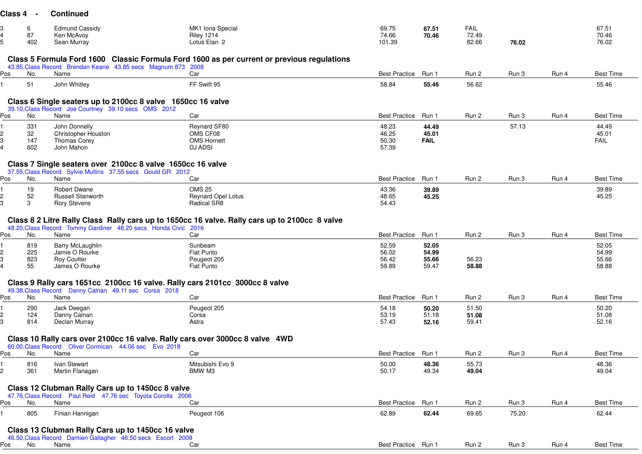|     | 6          | <b>Edmund Cassidy</b>                                                        | MK1 Iona Special                                                                              | 69.75                | 67.51          | <b>FAIL</b>    |       |       | 67.51            |  |
|-----|------------|------------------------------------------------------------------------------|-----------------------------------------------------------------------------------------------|----------------------|----------------|----------------|-------|-------|------------------|--|
| 5   | 87<br>402  | Ken McAvoy                                                                   | <b>Riley 1214</b><br>Lotus Elan 2                                                             | 74.66                | 70.46          | 72.49<br>82.66 | 76.02 |       | 70.46            |  |
|     |            | Sean Murray                                                                  |                                                                                               | 101.39               |                |                |       |       | 76.02            |  |
|     |            |                                                                              | Class 5 Formula Ford 1600 Classic Formula Ford 1600 as per current or previous regulations    |                      |                |                |       |       |                  |  |
|     |            | 43.85, Class Record Brendan Keane 43.85 secs Magnum 873 2008                 |                                                                                               |                      |                |                |       |       |                  |  |
| Pos | No.        | Name                                                                         | Car                                                                                           | <b>Best Practice</b> | Run 1          | Run 2          | Run 3 | Run 4 | <b>Best Time</b> |  |
|     | 51         | John Whitley                                                                 | FF Swift 95                                                                                   | 58.84                | 55.46          | 56.62          |       |       | 55.46            |  |
|     |            |                                                                              |                                                                                               |                      |                |                |       |       |                  |  |
|     |            | Class 6 Single seaters up to 2100cc 8 valve 1650cc 16 valve                  |                                                                                               |                      |                |                |       |       |                  |  |
| Pos | No.        | 39.10, Class Record Joe Courtney 39.10 secs OMS 2012<br>Name                 | Car                                                                                           | <b>Best Practice</b> | Run 1          | Run 2          | Run 3 | Run 4 | <b>Best Time</b> |  |
|     |            |                                                                              |                                                                                               |                      |                |                |       |       |                  |  |
|     | 331<br>32  | John Donnelly<br>Christopher Houston                                         | Reynard SF80<br>OMS CF08                                                                      | 48.23<br>46.25       | 44.49<br>45.01 |                | 57.13 |       | 44.49<br>45.01   |  |
| 3   | 147        | Thomas Corey                                                                 | <b>OMS Hornett</b>                                                                            | 50.30                | <b>FAIL</b>    |                |       |       | FAIL             |  |
|     | 602        | John Mahon                                                                   | <b>DJ ADSI</b>                                                                                | 57.39                |                |                |       |       |                  |  |
|     |            |                                                                              |                                                                                               |                      |                |                |       |       |                  |  |
|     |            | Class 7 Single seaters over 2100cc 8 valve 1650cc 16 valve                   |                                                                                               |                      |                |                |       |       |                  |  |
|     |            | 37.55, Class Record Sylvie Mullins 37.55 secs Gould GR 2012                  |                                                                                               |                      |                |                |       |       |                  |  |
| Pos | No.        | Name                                                                         | Car                                                                                           | <b>Best Practice</b> | Run 1          | Run 2          | Run 3 | Run 4 | <b>Best Time</b> |  |
|     | 19         | <b>Robert Dwane</b>                                                          | <b>OMS 25</b>                                                                                 | 43.36                | 39.89          |                |       |       | 39.89            |  |
| 2   | 52         | <b>Russell Stanworth</b>                                                     | <b>Reynard Opel Lotus</b>                                                                     | 48.65                | 45.25          |                |       |       | 45.25            |  |
| 3   | 3          | <b>Rory Stevens</b>                                                          | Radical SR8                                                                                   | 54.43                |                |                |       |       |                  |  |
|     |            |                                                                              |                                                                                               |                      |                |                |       |       |                  |  |
|     |            |                                                                              | Class 8 2 Litre Rally Class Rally cars up to 1650cc 16 valve. Rally cars up to 2100cc 8 valve |                      |                |                |       |       |                  |  |
| Pos | No.        | 48.20, Class Record Tommy Gardiner 48.20 secs Honda Civic 2016<br>Name       | Car                                                                                           | <b>Best Practice</b> | Run 1          | Run 2          | Run 3 | Run 4 | <b>Best Time</b> |  |
|     |            |                                                                              |                                                                                               |                      |                |                |       |       |                  |  |
|     | 819        | Barry McLaughlin                                                             | Sunbeam                                                                                       | 52.59                | 52.05          |                |       |       | 52.05            |  |
| 3   | 225        | Jamie O Rourke                                                               | Fiat Punto                                                                                    | 56.02                | 54.99          |                |       |       | 54.99            |  |
|     | 823<br>55  | <b>Roy Coulter</b><br>James O Rourke                                         | Peugeot 205<br>Fiat Punto                                                                     | 56.42<br>59.89       | 55.66<br>59.47 | 56.23<br>58.88 |       |       | 55.66<br>58.88   |  |
|     |            |                                                                              |                                                                                               |                      |                |                |       |       |                  |  |
|     |            | Class 9 Rally cars 1651cc 2100cc 16 valve. Rally cars 2101cc 3000cc 8 valve  |                                                                                               |                      |                |                |       |       |                  |  |
|     |            | 49.38, Class Record Danny Calnan 49.11 sec Corsa 2018                        |                                                                                               |                      |                |                |       |       |                  |  |
| Pos | No.        | Name                                                                         | Car                                                                                           | Best Practice Run 1  |                | Run 2          | Run 3 | Run 4 | <b>Best Time</b> |  |
|     | 290        | Jack Deegan                                                                  | Peugeot 205                                                                                   | 54.18                | 50.20          | 51.50          |       |       | 50.20            |  |
| 2   | 124        | Danny Calnan                                                                 | Corsa                                                                                         | 53.19                | 51.18          | 51.08          |       |       | 51.08            |  |
| 3   | 814        | Declan Murray                                                                | Astra                                                                                         | 57.43                | 52.16          | 59.41          |       |       | 52.16            |  |
|     |            |                                                                              |                                                                                               |                      |                |                |       |       |                  |  |
|     |            | Class 10 Rally cars over 2100cc 16 valve. Rally cars over 3000cc 8 valve 4WD |                                                                                               |                      |                |                |       |       |                  |  |
| Pos | No.        | 60.00, Class Record Oliver Cormican 44.06 sec Evo 2018<br>Name               | Car                                                                                           | Best Practice Run 1  |                | Run 2          | Run 3 | Run 4 | <b>Best Time</b> |  |
|     |            |                                                                              |                                                                                               |                      |                |                |       |       |                  |  |
| 2   | 816<br>361 | Ivan Stewart<br>Martin Flanagan                                              | Mitsubishi Evo 9<br>BMW M3                                                                    | 50.00<br>50.17       | 48.36<br>49.34 | 55.73<br>49.04 |       |       | 48.36<br>49.04   |  |
|     |            |                                                                              |                                                                                               |                      |                |                |       |       |                  |  |
|     |            | Class 12 Clubman Rally Cars up to 1450cc 8 valve                             |                                                                                               |                      |                |                |       |       |                  |  |
|     |            | 47.76, Class Record Paul Reid 47.76 sec Toyota Corolla 2006                  |                                                                                               |                      |                |                |       |       |                  |  |
| Pos | No.        | Name                                                                         | Car                                                                                           | Best Practice Run 1  |                | Run 2          | Run 3 | Run 4 | <b>Best Time</b> |  |
|     | 805        | Finian Hannigan                                                              | Peugeot 106                                                                                   | 62.89                | 62.44          | 69.65          | 75.20 |       | 62.44            |  |
|     |            |                                                                              |                                                                                               |                      |                |                |       |       |                  |  |
|     |            | Class 13 Clubman Rally Cars up to 1450cc 16 valve                            |                                                                                               |                      |                |                |       |       |                  |  |
|     |            | 46.50, Class Record Damien Gallagher 46.50 secs Escort 2008                  |                                                                                               |                      |                |                |       |       |                  |  |
| Pos | No.        | Name                                                                         | Car                                                                                           | Best Practice Run 1  |                | Run 2          | Run 3 | Run 4 | <b>Best Time</b> |  |

**Class 4 - Continued**